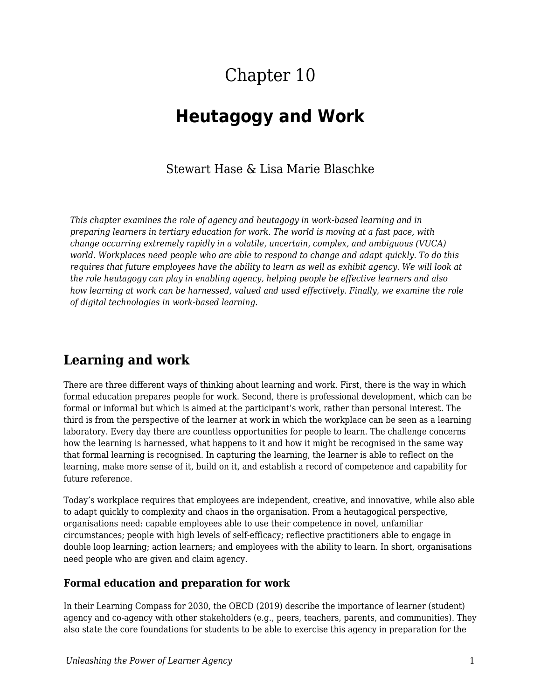# Chapter 10

## **Heutagogy and Work**

### Stewart Hase & Lisa Marie Blaschke

*This chapter examines the role of agency and heutagogy in work-based learning and in preparing learners in tertiary education for work. The world is moving at a fast pace, with change occurring extremely rapidly in a volatile, uncertain, complex, and ambiguous (VUCA) world. Workplaces need people who are able to respond to change and adapt quickly. To do this requires that future employees have the ability to learn as well as exhibit agency. We will look at the role heutagogy can play in enabling agency, helping people be effective learners and also how learning at work can be harnessed, valued and used effectively. Finally, we examine the role of digital technologies in work-based learning.*

## **Learning and work**

There are three different ways of thinking about learning and work. First, there is the way in which formal education prepares people for work. Second, there is professional development, which can be formal or informal but which is aimed at the participant's work, rather than personal interest. The third is from the perspective of the learner at work in which the workplace can be seen as a learning laboratory. Every day there are countless opportunities for people to learn. The challenge concerns how the learning is harnessed, what happens to it and how it might be recognised in the same way that formal learning is recognised. In capturing the learning, the learner is able to reflect on the learning, make more sense of it, build on it, and establish a record of competence and capability for future reference.

Today's workplace requires that employees are independent, creative, and innovative, while also able to adapt quickly to complexity and chaos in the organisation. From a heutagogical perspective, organisations need: capable employees able to use their competence in novel, unfamiliar circumstances; people with high levels of self-efficacy; reflective practitioners able to engage in double loop learning; action learners; and employees with the ability to learn. In short, organisations need people who are given and claim agency.

### **Formal education and preparation for work**

In their Learning Compass for 2030, the OECD (2019) describe the importance of learner (student) agency and co-agency with other stakeholders (e.g., peers, teachers, parents, and communities). They also state the core foundations for students to be able to exercise this agency in preparation for the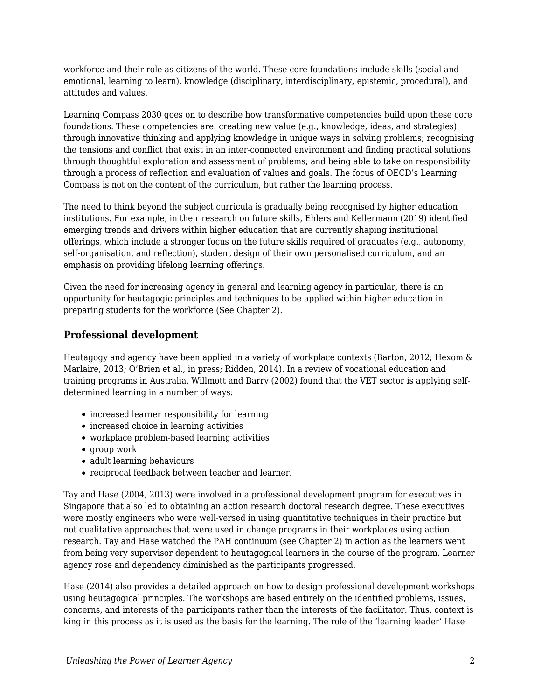workforce and their role as citizens of the world. These core foundations include skills (social and emotional, learning to learn), knowledge (disciplinary, interdisciplinary, epistemic, procedural), and attitudes and values.

Learning Compass 2030 goes on to describe how transformative competencies build upon these core foundations. These competencies are: creating new value (e.g., knowledge, ideas, and strategies) through innovative thinking and applying knowledge in unique ways in solving problems; recognising the tensions and conflict that exist in an inter-connected environment and finding practical solutions through thoughtful exploration and assessment of problems; and being able to take on responsibility through a process of reflection and evaluation of values and goals. The focus of OECD's Learning Compass is not on the content of the curriculum, but rather the learning process.

The need to think beyond the subject curricula is gradually being recognised by higher education institutions. For example, in their research on future skills, Ehlers and Kellermann (2019) identified emerging trends and drivers within higher education that are currently shaping institutional offerings, which include a stronger focus on the future skills required of graduates (e.g., autonomy, self-organisation, and reflection), student design of their own personalised curriculum, and an emphasis on providing lifelong learning offerings.

Given the need for increasing agency in general and learning agency in particular, there is an opportunity for heutagogic principles and techniques to be applied within higher education in preparing students for the workforce (See Chapter 2).

### **Professional development**

Heutagogy and agency have been applied in a variety of workplace contexts (Barton, 2012; Hexom & Marlaire, 2013; O'Brien et al., in press; Ridden, 2014). In a review of vocational education and training programs in Australia, Willmott and Barry (2002) found that the VET sector is applying selfdetermined learning in a number of ways:

- increased learner responsibility for learning
- increased choice in learning activities
- workplace problem-based learning activities
- group work
- adult learning behaviours
- reciprocal feedback between teacher and learner.

Tay and Hase (2004, 2013) were involved in a professional development program for executives in Singapore that also led to obtaining an action research doctoral research degree. These executives were mostly engineers who were well-versed in using quantitative techniques in their practice but not qualitative approaches that were used in change programs in their workplaces using action research. Tay and Hase watched the PAH continuum (see Chapter 2) in action as the learners went from being very supervisor dependent to heutagogical learners in the course of the program. Learner agency rose and dependency diminished as the participants progressed.

Hase (2014) also provides a detailed approach on how to design professional development workshops using heutagogical principles. The workshops are based entirely on the identified problems, issues, concerns, and interests of the participants rather than the interests of the facilitator. Thus, context is king in this process as it is used as the basis for the learning. The role of the 'learning leader' Hase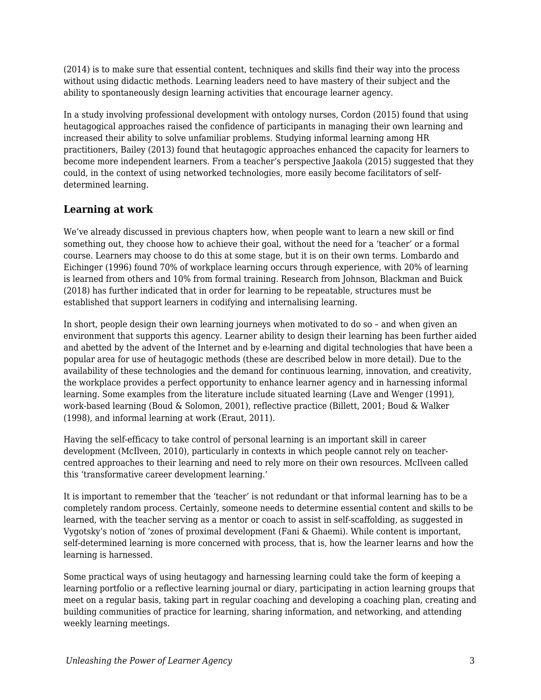(2014) is to make sure that essential content, techniques and skills find their way into the process without using didactic methods. Learning leaders need to have mastery of their subject and the ability to spontaneously design learning activities that encourage learner agency.

In a study involving professional development with ontology nurses, Cordon (2015) found that using heutagogical approaches raised the confidence of participants in managing their own learning and increased their ability to solve unfamiliar problems. Studying informal learning among HR practitioners, Bailey (2013) found that heutagogic approaches enhanced the capacity for learners to become more independent learners. From a teacher's perspective Jaakola (2015) suggested that they could, in the context of using networked technologies, more easily become facilitators of selfdetermined learning.

### **Learning at work**

We've already discussed in previous chapters how, when people want to learn a new skill or find something out, they choose how to achieve their goal, without the need for a 'teacher' or a formal course. Learners may choose to do this at some stage, but it is on their own terms. Lombardo and Eichinger (1996) found 70% of workplace learning occurs through experience, with 20% of learning is learned from others and 10% from formal training. Research from Johnson, Blackman and Buick (2018) has further indicated that in order for learning to be repeatable, structures must be established that support learners in codifying and internalising learning.

In short, people design their own learning journeys when motivated to do so – and when given an environment that supports this agency. Learner ability to design their learning has been further aided and abetted by the advent of the Internet and by e-learning and digital technologies that have been a popular area for use of heutagogic methods (these are described below in more detail). Due to the availability of these technologies and the demand for continuous learning, innovation, and creativity, the workplace provides a perfect opportunity to enhance learner agency and in harnessing informal learning. Some examples from the literature include situated learning (Lave and Wenger (1991), work-based learning (Boud & Solomon, 2001), reflective practice (Billett, 2001; Boud & Walker (1998), and informal learning at work (Eraut, 2011).

Having the self-efficacy to take control of personal learning is an important skill in career development (McIlveen, 2010), particularly in contexts in which people cannot rely on teachercentred approaches to their learning and need to rely more on their own resources. McIlveen called this 'transformative career development learning.'

It is important to remember that the 'teacher' is not redundant or that informal learning has to be a completely random process. Certainly, someone needs to determine essential content and skills to be learned, with the teacher serving as a mentor or coach to assist in self-scaffolding, as suggested in Vygotsky's notion of 'zones of proximal development (Fani & Ghaemi). While content is important, self-determined learning is more concerned with process, that is, how the learner learns and how the learning is harnessed.

Some practical ways of using heutagogy and harnessing learning could take the form of keeping a learning portfolio or a reflective learning journal or diary, participating in action learning groups that meet on a regular basis, taking part in regular coaching and developing a coaching plan, creating and building communities of practice for learning, sharing information, and networking, and attending weekly learning meetings.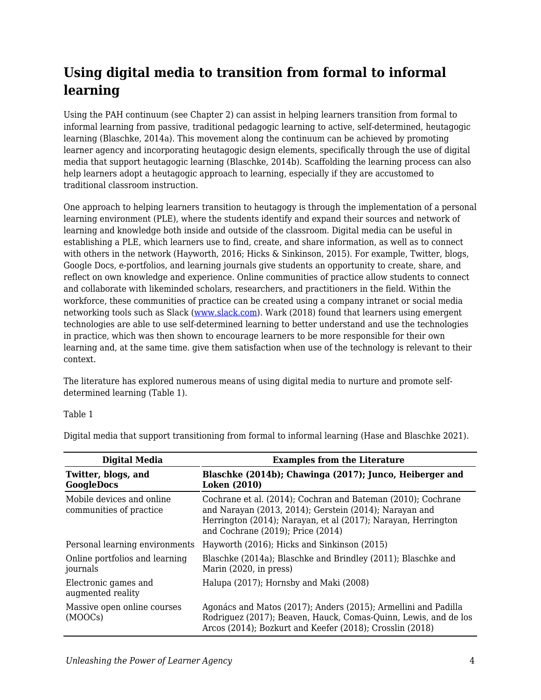## **Using digital media to transition from formal to informal learning**

Using the PAH continuum (see Chapter 2) can assist in helping learners transition from formal to informal learning from passive, traditional pedagogic learning to active, self-determined, heutagogic learning (Blaschke, 2014a). This movement along the continuum can be achieved by promoting learner agency and incorporating heutagogic design elements, specifically through the use of digital media that support heutagogic learning (Blaschke, 2014b). Scaffolding the learning process can also help learners adopt a heutagogic approach to learning, especially if they are accustomed to traditional classroom instruction.

One approach to helping learners transition to heutagogy is through the implementation of a personal learning environment (PLE), where the students identify and expand their sources and network of learning and knowledge both inside and outside of the classroom. Digital media can be useful in establishing a PLE, which learners use to find, create, and share information, as well as to connect with others in the network (Hayworth, 2016; Hicks & Sinkinson, 2015). For example, Twitter, blogs, Google Docs, e-portfolios, and learning journals give students an opportunity to create, share, and reflect on own knowledge and experience. Online communities of practice allow students to connect and collaborate with likeminded scholars, researchers, and practitioners in the field. Within the workforce, these communities of practice can be created using a company intranet or social media networking tools such as Slack ([www.slack.com](http://www.slack.com)). Wark (2018) found that learners using emergent technologies are able to use self-determined learning to better understand and use the technologies in practice, which was then shown to encourage learners to be more responsible for their own learning and, at the same time. give them satisfaction when use of the technology is relevant to their context.

The literature has explored numerous means of using digital media to nurture and promote selfdetermined learning (Table 1).

#### Table 1

| <b>Digital Media</b>                                 | <b>Examples from the Literature</b>                                                                                                                                                                                          |
|------------------------------------------------------|------------------------------------------------------------------------------------------------------------------------------------------------------------------------------------------------------------------------------|
| Twitter, blogs, and<br><b>GoogleDocs</b>             | Blaschke (2014b); Chawinga (2017); Junco, Heiberger and<br><b>Loken</b> (2010)                                                                                                                                               |
| Mobile devices and online<br>communities of practice | Cochrane et al. (2014); Cochran and Bateman (2010); Cochrane<br>and Narayan (2013, 2014); Gerstein (2014); Narayan and<br>Herrington (2014); Narayan, et al (2017); Narayan, Herrington<br>and Cochrane (2019); Price (2014) |
| Personal learning environments                       | Hayworth (2016); Hicks and Sinkinson (2015)                                                                                                                                                                                  |
| Online portfolios and learning<br>journals           | Blaschke (2014a); Blaschke and Brindley (2011); Blaschke and<br>Marin (2020, in press)                                                                                                                                       |
| Electronic games and<br>augmented reality            | Halupa (2017); Hornsby and Maki (2008)                                                                                                                                                                                       |
| Massive open online courses<br>(MOOCs)               | Agonács and Matos (2017); Anders (2015); Armellini and Padilla<br>Rodriguez (2017); Beaven, Hauck, Comas-Quinn, Lewis, and de los<br>Arcos (2014); Bozkurt and Keefer (2018); Crosslin (2018)                                |

Digital media that support transitioning from formal to informal learning (Hase and Blaschke 2021).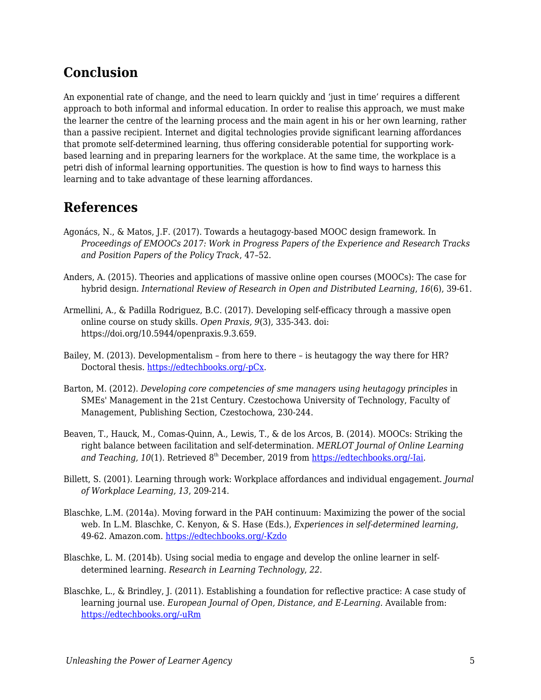## **Conclusion**

An exponential rate of change, and the need to learn quickly and 'just in time' requires a different approach to both informal and informal education. In order to realise this approach, we must make the learner the centre of the learning process and the main agent in his or her own learning, rather than a passive recipient. Internet and digital technologies provide significant learning affordances that promote self-determined learning, thus offering considerable potential for supporting workbased learning and in preparing learners for the workplace. At the same time, the workplace is a petri dish of informal learning opportunities. The question is how to find ways to harness this learning and to take advantage of these learning affordances.

## **References**

- Agonács, N., & Matos, J.F. (2017). Towards a heutagogy-based MOOC design framework. In *Proceedings of EMOOCs 2017: Work in Progress Papers of the Experience and Research Tracks and Position Papers of the Policy Track*, 47–52.
- Anders, A. (2015). Theories and applications of massive online open courses (MOOCs): The case for hybrid design. *International Review of Research in Open and Distributed Learning*, *16*(6), 39-61.
- Armellini, A., & Padilla Rodriguez, B.C. (2017). Developing self-efficacy through a massive open online course on study skills. *Open Praxis, 9*(3), 335-343. doi: https://doi.org/10.5944/openpraxis.9.3.659.
- Bailey, M. (2013). Developmentalism from here to there is heutagogy the way there for HR? Doctoral thesis. [https://edtechbooks.org/-pCx.](http://hdl.handle.net/1893/17260)
- Barton, M. (2012). *Developing core competencies of sme managers using heutagogy principles* in SMEs' Management in the 21st Century. Czestochowa University of Technology, Faculty of Management, Publishing Section, Czestochowa, 230-244.
- Beaven, T., Hauck, M., Comas-Quinn, A., Lewis, T., & de los Arcos, B. (2014). MOOCs: Striking the right balance between facilitation and self-determination. *MERLOT Journal of Online Learning* and Teaching, 10(1). Retrieved 8<sup>th</sup> December, 2019 from [https://edtechbooks.org/-Iai](http://jolt.merlot.org/vol10no1/beaven_0314.pdf).
- Billett, S. (2001). Learning through work: Workplace affordances and individual engagement. *Journal of Workplace Learning, 13*, 209-214.
- Blaschke, L.M. (2014a). Moving forward in the PAH continuum: Maximizing the power of the social web. In L.M. Blaschke, C. Kenyon, & S. Hase (Eds.), *Experiences in self-determined learning*, 49-62. Amazon.com. [https://edtechbooks.org/-Kzdo](https://uol.de/coer/announcements/free-oer-now-available-experiences-in-self-determined-learning/)
- Blaschke, L. M. (2014b). Using social media to engage and develop the online learner in selfdetermined learning. *Research in Learning Technology*, *22*.
- Blaschke, L., & Brindley, J. (2011). Establishing a foundation for reflective practice: A case study of learning journal use. *European Journal of Open, Distance, and E-Learning.* Available from: [https://edtechbooks.org/-uRm](https://old.eurodl.org/materials/special/2011/Blaschke_Brindley.pdf)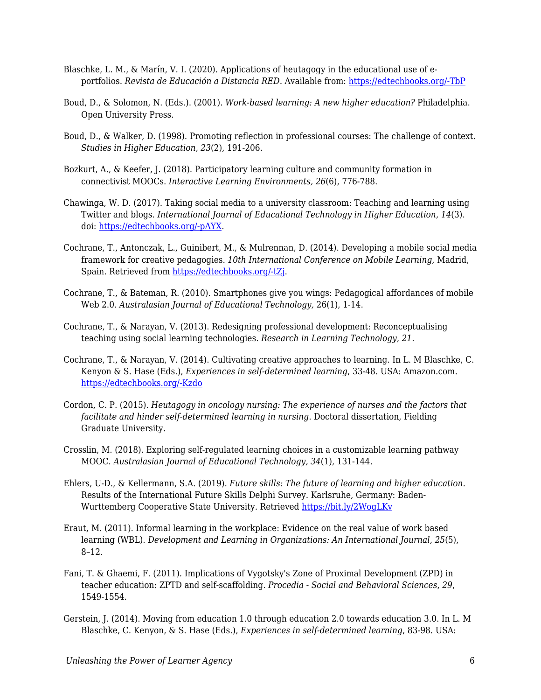- Blaschke, L. M., & Marín, V. I. (2020). Applications of heutagogy in the educational use of eportfolios. *Revista de Educación a Distancia RED*. Available from: [https://edtechbooks.org/-TbP](https://revistas.um.es/red/article/view/407831/290621)
- Boud, D., & Solomon, N. (Eds.). (2001). *Work-based learning: A new higher education?* Philadelphia. Open University Press.
- Boud, D., & Walker, D. (1998). Promoting reflection in professional courses: The challenge of context. *Studies in Higher Education, 23*(2), 191-206.
- Bozkurt, A., & Keefer, J. (2018). Participatory learning culture and community formation in connectivist MOOCs. *Interactive Learning Environments, 26*(6), 776-788.
- Chawinga, W. D. (2017). Taking social media to a university classroom: Teaching and learning using Twitter and blogs. *International Journal of Educational Technology in Higher Education, 14*(3). doi: [https://edtechbooks.org/-pAYX.](https://doi.org/10.1186/s41239-017-0041-6)
- Cochrane, T., Antonczak, L., Guinibert, M., & Mulrennan, D. (2014). Developing a mobile social media framework for creative pedagogies. *10th International Conference on Mobile Learning*, Madrid, Spain. Retrieved from [https://edtechbooks.org/-tZj](https://files.eric.ed.gov/fulltext/ED557241.pdf).
- Cochrane, T., & Bateman, R. (2010). Smartphones give you wings: Pedagogical affordances of mobile Web 2.0. *Australasian Journal of Educational Technology,* 26(1), 1-14.
- Cochrane, T., & Narayan, V. (2013). Redesigning professional development: Reconceptualising teaching using social learning technologies. *Research in Learning Technology*, *21*.
- Cochrane, T., & Narayan, V. (2014). Cultivating creative approaches to learning. In L. M Blaschke, C. Kenyon & S. Hase (Eds.), *Experiences in self-determined learning*, 33-48. USA: Amazon.com. [https://edtechbooks.org/-Kzdo](https://uol.de/coer/announcements/free-oer-now-available-experiences-in-self-determined-learning/)
- Cordon, C. P. (2015). *Heutagogy in oncology nursing: The experience of nurses and the factors that facilitate and hinder self-determined learning in nursing*. Doctoral dissertation, Fielding Graduate University.
- Crosslin, M. (2018). Exploring self-regulated learning choices in a customizable learning pathway MOOC. *Australasian Journal of Educational Technology, 34*(1), 131-144.
- Ehlers, U-D., & Kellermann, S.A. (2019). *Future skills: The future of learning and higher education.* Results of the International Future Skills Delphi Survey. Karlsruhe, Germany: Baden-Wurttemberg Cooperative State University. Retrieved <https://bit.ly/2WogLKv>
- Eraut, M. (2011). Informal learning in the workplace: Evidence on the real value of work based learning (WBL). *Development and Learning in Organizations: An International Journal*, *25*(5), 8–12.
- Fani, T. & Ghaemi, F. (2011). Implications of Vygotsky's Zone of Proximal Development (ZPD) in teacher education: ZPTD and self-scaffolding. *Procedia - Social and Behavioral Sciences*, *29*, 1549-1554.
- Gerstein, J. (2014). Moving from education 1.0 through education 2.0 towards education 3.0. In L. M Blaschke, C. Kenyon, & S. Hase (Eds.), *Experiences in self-determined learning*, 83-98. USA: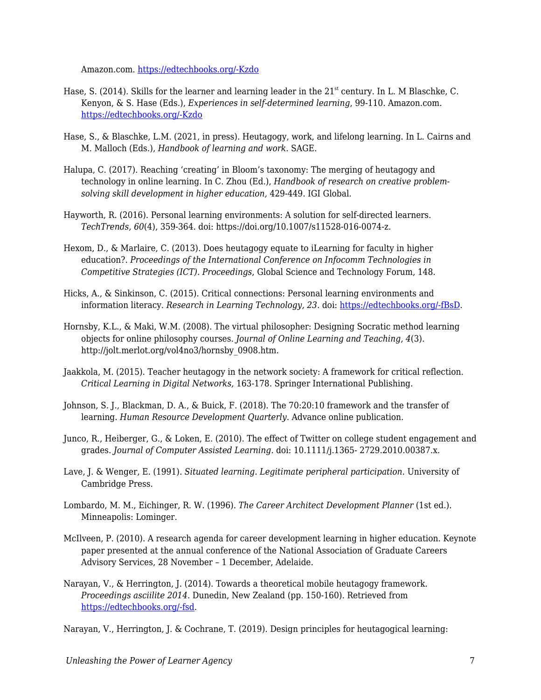Amazon.com. [https://edtechbooks.org/-Kzdo](https://uol.de/coer/announcements/free-oer-now-available-experiences-in-self-determined-learning/)

- Hase, S. (2014). Skills for the learner and learning leader in the  $21<sup>st</sup>$  century. In L. M Blaschke, C. Kenyon, & S. Hase (Eds.), *Experiences in self-determined learning*, 99-110. Amazon.com. [https://edtechbooks.org/-Kzdo](https://uol.de/coer/announcements/free-oer-now-available-experiences-in-self-determined-learning/)
- Hase, S., & Blaschke, L.M. (2021, in press). Heutagogy, work, and lifelong learning. In L. Cairns and M. Malloch (Eds.), *Handbook of learning and work*. SAGE.
- Halupa, C. (2017). Reaching 'creating' in Bloom's taxonomy: The merging of heutagogy and technology in online learning. In C. Zhou (Ed.), *Handbook of research on creative problemsolving skill development in higher education,* 429-449. IGI Global.
- Hayworth, R. (2016). Personal learning environments: A solution for self-directed learners. *TechTrends, 60*(4), 359-364. doi: https://doi.org/10.1007/s11528-016-0074-z.
- Hexom, D., & Marlaire, C. (2013). Does heutagogy equate to iLearning for faculty in higher education?. *Proceedings of the International Conference on Infocomm Technologies in Competitive Strategies (ICT). Proceedings*, Global Science and Technology Forum, 148.
- Hicks, A., & Sinkinson, C. (2015). Critical connections: Personal learning environments and information literacy. *Research in Learning Technology, 23*. doi: [https://edtechbooks.org/-fBsD.](http://dx.doi.org/10.3402/rlt.v23.21193)
- Hornsby, K.L., & Maki, W.M. (2008). The virtual philosopher: Designing Socratic method learning objects for online philosophy courses. *Journal of Online Learning and Teaching, 4*(3). http://jolt.merlot.org/vol4no3/hornsby\_0908.htm.
- Jaakkola, M. (2015). Teacher heutagogy in the network society: A framework for critical reflection. *Critical Learning in Digital Networks,* 163-178. Springer International Publishing.
- Johnson, S. J., Blackman, D. A., & Buick, F. (2018). The 70:20:10 framework and the transfer of learning. *Human Resource Development Quarterly*. Advance online publication.
- Junco, R., Heiberger, G., & Loken, E. (2010). The effect of Twitter on college student engagement and grades. *Journal of Computer Assisted Learning*. doi: 10.1111/j.1365- 2729.2010.00387.x.
- Lave, J. & Wenger, E. (1991). *Situated learning. Legitimate peripheral participation*. University of Cambridge Press.
- Lombardo, M. M., Eichinger, R. W. (1996). *The Career Architect Development Planner* (1st ed.). Minneapolis: Lominger.
- McIlveen, P. (2010). A research agenda for career development learning in higher education. Keynote paper presented at the annual conference of the National Association of Graduate Careers Advisory Services, 28 November – 1 December, Adelaide.
- Narayan, V., & Herrington, J. (2014). Towards a theoretical mobile heutagogy framework. *Proceedings asciilite 2014*. Dunedin, New Zealand (pp. 150-160). Retrieved from [https://edtechbooks.org/-fsd](http://ascilite.org/conferences/dunedin2014/files/fullpapers/138-Narayan.pdf).

Narayan, V., Herrington, J. & Cochrane, T. (2019). Design principles for heutagogical learning: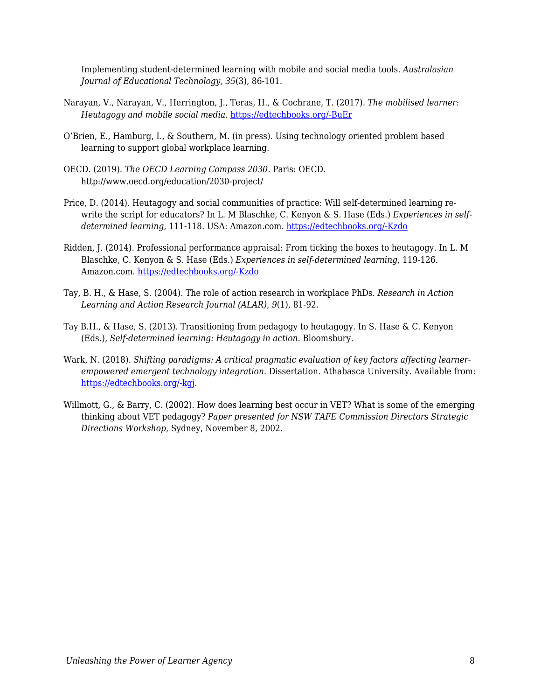Implementing student-determined learning with mobile and social media tools. *Australasian Journal of Educational Technology, 35*(3), 86-101.

- Narayan, V., Narayan, V., Herrington, J., Teras, H., & Cochrane, T. (2017). *The mobilised learner: Heutagogy and mobile social media*. [https://edtechbooks.org/-BuEr](http://researchrepository.murdoch.edu.au/id/eprint/36991/)
- O'Brien, E., Hamburg, I., & Southern, M. (in press). Using technology oriented problem based learning to support global workplace learning.
- OECD. (2019). *The OECD Learning Compass 2030*. Paris: OECD. http://www.oecd.org/education/2030-project/
- Price, D. (2014). Heutagogy and social communities of practice: Will self-determined learning rewrite the script for educators? In L. M Blaschke, C. Kenyon & S. Hase (Eds.) *Experiences in selfdetermined learning*, 111-118. USA: Amazon.com. [https://edtechbooks.org/-Kzdo](https://uol.de/coer/announcements/free-oer-now-available-experiences-in-self-determined-learning/)
- Ridden, J. (2014). Professional performance appraisal: From ticking the boxes to heutagogy. In L. M Blaschke, C. Kenyon & S. Hase (Eds.) *Experiences in self-determined learning*, 119-126. Amazon.com. [https://edtechbooks.org/-Kzdo](https://uol.de/coer/announcements/free-oer-now-available-experiences-in-self-determined-learning/)
- Tay, B. H., & Hase, S. (2004). The role of action research in workplace PhDs. *Research in Action Learning and Action Research Journal (ALAR)*, *9*(1), 81-92.
- Tay B.H., & Hase, S. (2013). Transitioning from pedagogy to heutagogy. In S. Hase & C. Kenyon (Eds.), *Self-determined learning: Heutagogy in action*. Bloomsbury.
- Wark, N. (2018). *Shifting paradigms: A critical pragmatic evaluation of key factors affecting learnerempowered emergent technology integration*. Dissertation. Athabasca University. Available from: [https://edtechbooks.org/-kgj](https://dt.athabascau.ca/jspui/bitstream/10791/274/4/NorineWarkFinal.pdf).
- Willmott, G., & Barry, C. (2002). How does learning best occur in VET? What is some of the emerging thinking about VET pedagogy? *Paper presented for NSW TAFE Commission Directors Strategic Directions Workshop*, Sydney, November 8, 2002.